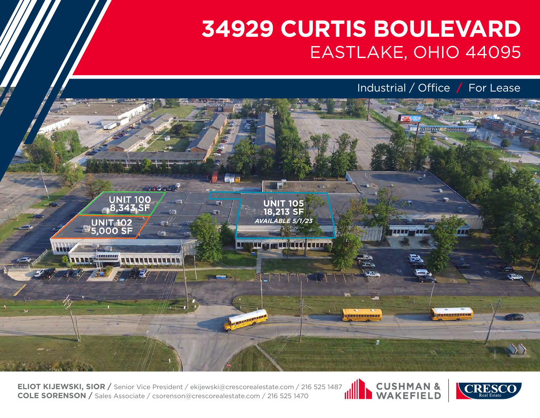Industrial / Office **/** For Lease



**ELIOT KIJEWSKI, SIOR /** Senior Vice President / ekijewski@crescorealestate.com / 216 525 1487<br>**COLE SORENSON /** Sales Associate / csorenson@crescorealestate.com / 216 525 1470 **COLE SORENSON /** Sales Associate / csorenson@crescorealestate.com / 216 525 1470



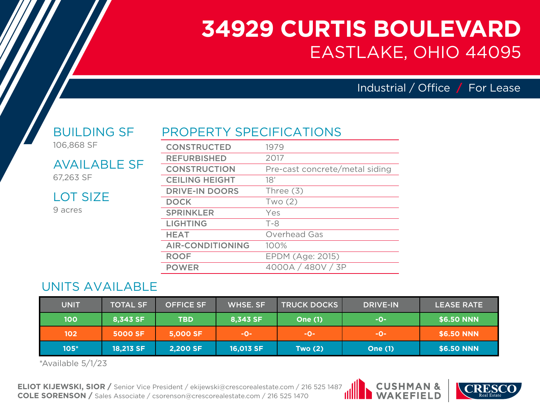Industrial / Office **/** For Lease

#### BUILDING SF 106,868 SF

AVAILABLE SF

67,263 SF

9 acres

LOT SIZE

PROPERTY SPECIFICATIONS

| <b>CONSTRUCTED</b>      | 1979                           |
|-------------------------|--------------------------------|
| <b>REFURBISHED</b>      | 2017                           |
| <b>CONSTRUCTION</b>     | Pre-cast concrete/metal siding |
| <b>CEILING HEIGHT</b>   | 18'                            |
| <b>DRIVE-IN DOORS</b>   | Three $(3)$                    |
| <b>DOCK</b>             | Two(2)                         |
| <b>SPRINKLER</b>        | Yes                            |
| <b>LIGHTING</b>         | $T - 8$                        |
| <b>HEAT</b>             | Overhead Gas                   |
| <b>AIR-CONDITIONING</b> | 100%                           |
| <b>ROOF</b>             | EPDM (Age: 2015)               |
| <b>POWER</b>            | 4000A / 480V / 3P              |

## UNITS AVAILABLE

| <b>UNIT</b> | <b>TOTAL SF</b> | <b>OFFICE SF</b> | WHSE, SF  | <b>TRUCK DOCKS</b> | <b>DRIVE-IN</b> | <b>LEASE RATE</b> |
|-------------|-----------------|------------------|-----------|--------------------|-----------------|-------------------|
| <b>100</b>  | 8,343 SF        | <b>TBD</b>       | 8,343 SF  | <b>One (1)</b>     | -0-             | \$6.50 NNN        |
| 102         | <b>5000 SF</b>  | 5,000 SF         | -O-       | -O-                | -O-             | \$6.50 NNN        |
| $105*$      | 18,213 SF       | <b>2,200 SF</b>  | 16,013 SF | Two $(2)$          | <b>One (1)</b>  | \$6.50 NNN        |

\*Available 5/1/23

**ELIOT KIJEWSKI, SIOR /** Senior Vice President / ekijewski@crescorealestate.com / 216 525 1487 **COLE SORENSON /** Sales Associate / csorenson@crescorealestate.com / 216 525 1470



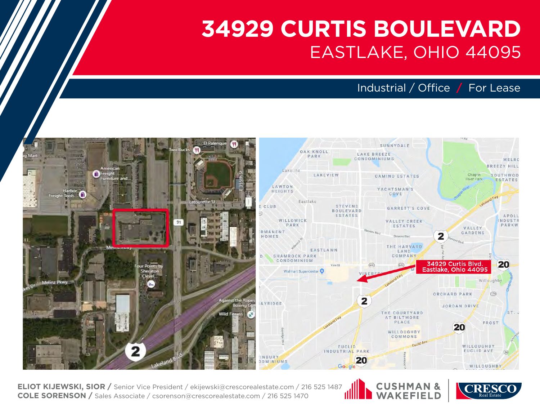Industrial / Office **/** For Lease



**ELIOT KIJEWSKI, SIOR /** Senior Vice President / ekijewski@crescorealestate.com / 216 525 1487 **COLE SORENSON /** Sales Associate / csorenson@crescorealestate.com / 216 525 1470